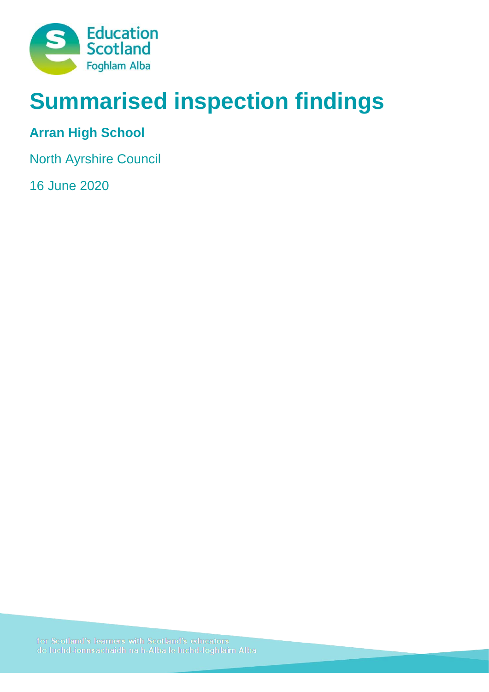

# **Summarised inspection findings**

## **Arran High School**

North Ayrshire Council

16 June 2020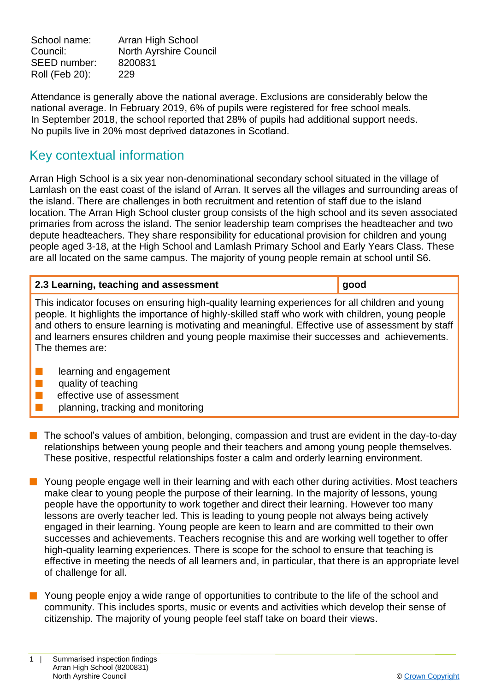School name: Arran High School Council: North Ayrshire Council SEED number: 8200831 Roll (Feb 20): 229

Attendance is generally above the national average. Exclusions are considerably below the national average. In February 2019, 6% of pupils were registered for free school meals. In September 2018, the school reported that 28% of pupils had additional support needs. No pupils live in 20% most deprived datazones in Scotland.

### Key contextual information

Arran High School is a six year non-denominational secondary school situated in the village of Lamlash on the east coast of the island of Arran. It serves all the villages and surrounding areas of the island. There are challenges in both recruitment and retention of staff due to the island location. The Arran High School cluster group consists of the high school and its seven associated primaries from across the island. The senior leadership team comprises the headteacher and two depute headteachers. They share responsibility for educational provision for children and young people aged 3-18, at the High School and Lamlash Primary School and Early Years Class. These are all located on the same campus. The majority of young people remain at school until S6.

|  | 2.3 Learning, teaching and assessment |  |  |
|--|---------------------------------------|--|--|
|  |                                       |  |  |

This indicator focuses on ensuring high-quality learning experiences for all children and young people. It highlights the importance of highly-skilled staff who work with children, young people and others to ensure learning is motivating and meaningful. Effective use of assessment by staff and learners ensures children and young people maximise their successes and achievements. The themes are:

- $\blacksquare$  learning and engagement
- $\blacksquare$  quality of teaching
- $\blacksquare$  effective use of assessment
	- planning, tracking and monitoring
- $\blacksquare$  The school's values of ambition, belonging, compassion and trust are evident in the day-to-day relationships between young people and their teachers and among young people themselves. These positive, respectful relationships foster a calm and orderly learning environment.
- n Young people engage well in their learning and with each other during activities. Most teachers make clear to young people the purpose of their learning. In the majority of lessons, young people have the opportunity to work together and direct their learning. However too many lessons are overly teacher led. This is leading to young people not always being actively engaged in their learning. Young people are keen to learn and are committed to their own successes and achievements. Teachers recognise this and are working well together to offer high-quality learning experiences. There is scope for the school to ensure that teaching is effective in meeting the needs of all learners and, in particular, that there is an appropriate level of challenge for all.
- **n** Young people enjoy a wide range of opportunities to contribute to the life of the school and community. This includes sports, music or events and activities which develop their sense of citizenship. The majority of young people feel staff take on board their views.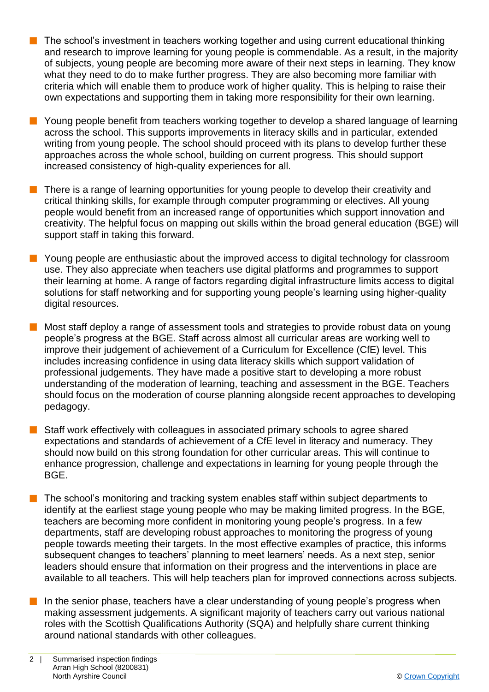- $\blacksquare$  The school's investment in teachers working together and using current educational thinking and research to improve learning for young people is commendable. As a result, in the majority of subjects, young people are becoming more aware of their next steps in learning. They know what they need to do to make further progress. They are also becoming more familiar with criteria which will enable them to produce work of higher quality. This is helping to raise their own expectations and supporting them in taking more responsibility for their own learning.
- **n** Young people benefit from teachers working together to develop a shared language of learning across the school. This supports improvements in literacy skills and in particular, extended writing from young people. The school should proceed with its plans to develop further these approaches across the whole school, building on current progress. This should support increased consistency of high-quality experiences for all.
- $\blacksquare$  There is a range of learning opportunities for young people to develop their creativity and critical thinking skills, for example through computer programming or electives. All young people would benefit from an increased range of opportunities which support innovation and creativity. The helpful focus on mapping out skills within the broad general education (BGE) will support staff in taking this forward.
- **n** Young people are enthusiastic about the improved access to digital technology for classroom use. They also appreciate when teachers use digital platforms and programmes to support their learning at home. A range of factors regarding digital infrastructure limits access to digital solutions for staff networking and for supporting young people's learning using higher-quality digital resources.
- n Most staff deploy a range of assessment tools and strategies to provide robust data on young people's progress at the BGE. Staff across almost all curricular areas are working well to improve their judgement of achievement of a Curriculum for Excellence (CfE) level. This includes increasing confidence in using data literacy skills which support validation of professional judgements. They have made a positive start to developing a more robust understanding of the moderation of learning, teaching and assessment in the BGE. Teachers should focus on the moderation of course planning alongside recent approaches to developing pedagogy.
- Staff work effectively with colleagues in associated primary schools to agree shared expectations and standards of achievement of a CfE level in literacy and numeracy. They should now build on this strong foundation for other curricular areas. This will continue to enhance progression, challenge and expectations in learning for young people through the BGE.
- $\blacksquare$  The school's monitoring and tracking system enables staff within subject departments to identify at the earliest stage young people who may be making limited progress. In the BGE, teachers are becoming more confident in monitoring young people's progress. In a few departments, staff are developing robust approaches to monitoring the progress of young people towards meeting their targets. In the most effective examples of practice, this informs subsequent changes to teachers' planning to meet learners' needs. As a next step, senior leaders should ensure that information on their progress and the interventions in place are available to all teachers. This will help teachers plan for improved connections across subjects.
- $\blacksquare$  In the senior phase, teachers have a clear understanding of young people's progress when making assessment judgements. A significant majority of teachers carry out various national roles with the Scottish Qualifications Authority (SQA) and helpfully share current thinking around national standards with other colleagues.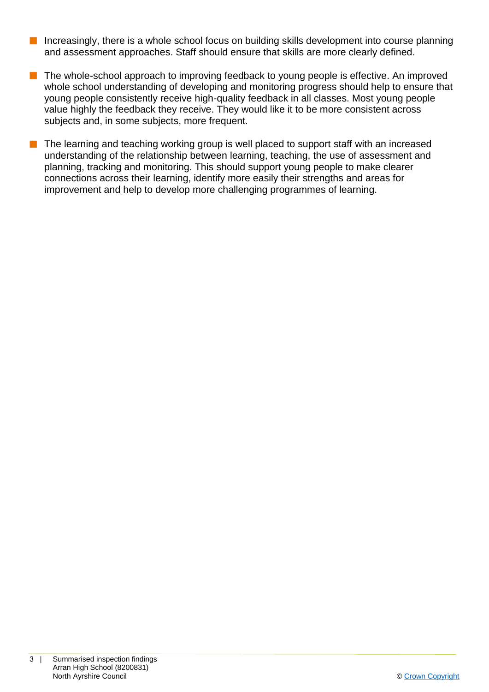- $\blacksquare$  Increasingly, there is a whole school focus on building skills development into course planning and assessment approaches. Staff should ensure that skills are more clearly defined.
- The whole-school approach to improving feedback to young people is effective. An improved whole school understanding of developing and monitoring progress should help to ensure that young people consistently receive high-quality feedback in all classes. Most young people value highly the feedback they receive. They would like it to be more consistent across subjects and, in some subjects, more frequent.
- $\blacksquare$  The learning and teaching working group is well placed to support staff with an increased understanding of the relationship between learning, teaching, the use of assessment and planning, tracking and monitoring. This should support young people to make clearer connections across their learning, identify more easily their strengths and areas for improvement and help to develop more challenging programmes of learning.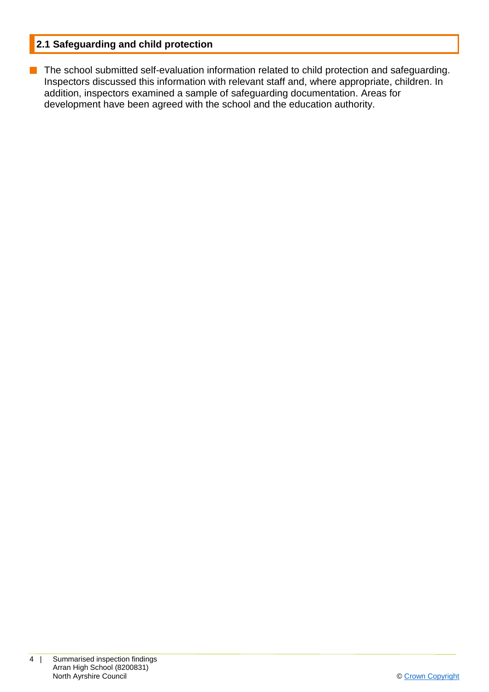#### **2.1 Safeguarding and child protection**

**n** The school submitted self-evaluation information related to child protection and safeguarding. Inspectors discussed this information with relevant staff and, where appropriate, children. In addition, inspectors examined a sample of safeguarding documentation. Areas for development have been agreed with the school and the education authority.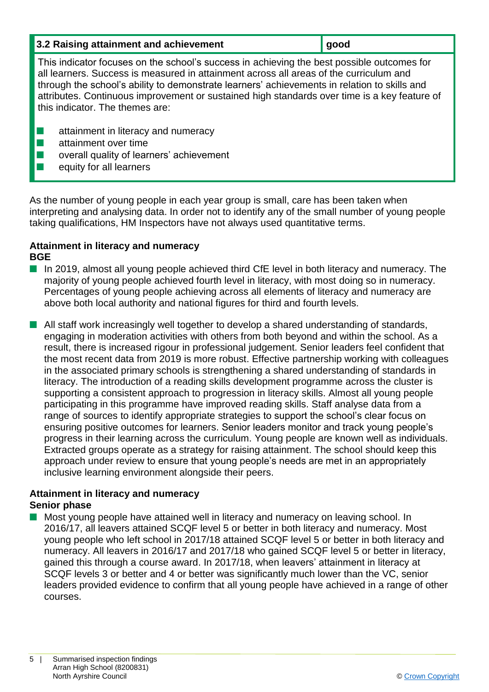| 3.2 Raising attainment and achievement | ∣ good |
|----------------------------------------|--------|
|                                        |        |

This indicator focuses on the school's success in achieving the best possible outcomes for all learners. Success is measured in attainment across all areas of the curriculum and through the school's ability to demonstrate learners' achievements in relation to skills and attributes. Continuous improvement or sustained high standards over time is a key feature of this indicator. The themes are:

- **n** attainment in literacy and numeracy
- $\blacksquare$  attainment over time
- $\blacksquare$  overall quality of learners' achievement
- $\blacksquare$  equity for all learners

As the number of young people in each year group is small, care has been taken when interpreting and analysing data. In order not to identify any of the small number of young people taking qualifications, HM Inspectors have not always used quantitative terms.

#### **Attainment in literacy and numeracy BGE**

- $\blacksquare$  In 2019, almost all young people achieved third CfE level in both literacy and numeracy. The majority of young people achieved fourth level in literacy, with most doing so in numeracy. Percentages of young people achieving across all elements of literacy and numeracy are above both local authority and national figures for third and fourth levels.
- $\blacksquare$  All staff work increasingly well together to develop a shared understanding of standards, engaging in moderation activities with others from both beyond and within the school. As a result, there is increased rigour in professional judgement. Senior leaders feel confident that the most recent data from 2019 is more robust. Effective partnership working with colleagues in the associated primary schools is strengthening a shared understanding of standards in literacy. The introduction of a reading skills development programme across the cluster is supporting a consistent approach to progression in literacy skills. Almost all young people participating in this programme have improved reading skills. Staff analyse data from a range of sources to identify appropriate strategies to support the school's clear focus on ensuring positive outcomes for learners. Senior leaders monitor and track young people's progress in their learning across the curriculum. Young people are known well as individuals. Extracted groups operate as a strategy for raising attainment. The school should keep this approach under review to ensure that young people's needs are met in an appropriately inclusive learning environment alongside their peers.

#### **Attainment in literacy and numeracy Senior phase**

Most young people have attained well in literacy and numeracy on leaving school. In 2016/17, all leavers attained SCQF level 5 or better in both literacy and numeracy. Most young people who left school in 2017/18 attained SCQF level 5 or better in both literacy and numeracy. All leavers in 2016/17 and 2017/18 who gained SCQF level 5 or better in literacy, gained this through a course award. In 2017/18, when leavers' attainment in literacy at SCQF levels 3 or better and 4 or better was significantly much lower than the VC, senior leaders provided evidence to confirm that all young people have achieved in a range of other courses.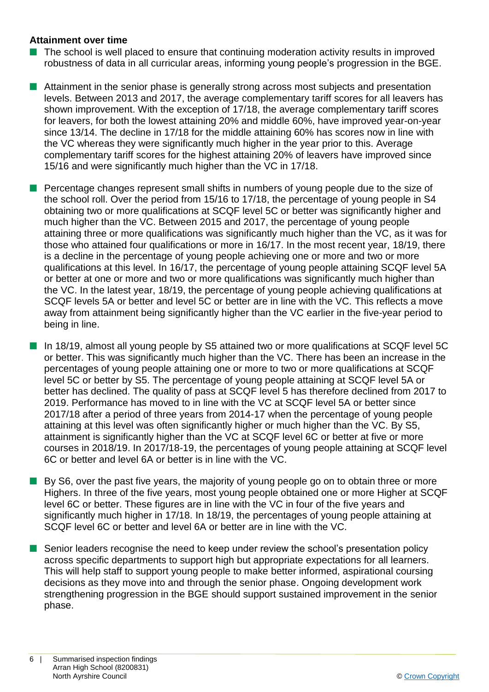#### **Attainment over time**

- $\blacksquare$  The school is well placed to ensure that continuing moderation activity results in improved robustness of data in all curricular areas, informing young people's progression in the BGE.
- $\blacksquare$  Attainment in the senior phase is generally strong across most subjects and presentation levels. Between 2013 and 2017, the average complementary tariff scores for all leavers has shown improvement. With the exception of 17/18, the average complementary tariff scores for leavers, for both the lowest attaining 20% and middle 60%, have improved year-on-year since 13/14. The decline in 17/18 for the middle attaining 60% has scores now in line with the VC whereas they were significantly much higher in the year prior to this. Average complementary tariff scores for the highest attaining 20% of leavers have improved since 15/16 and were significantly much higher than the VC in 17/18.
- **n** Percentage changes represent small shifts in numbers of young people due to the size of the school roll. Over the period from 15/16 to 17/18, the percentage of young people in S4 obtaining two or more qualifications at SCQF level 5C or better was significantly higher and much higher than the VC. Between 2015 and 2017, the percentage of young people attaining three or more qualifications was significantly much higher than the VC, as it was for those who attained four qualifications or more in 16/17. In the most recent year, 18/19, there is a decline in the percentage of young people achieving one or more and two or more qualifications at this level. In 16/17, the percentage of young people attaining SCQF level 5A or better at one or more and two or more qualifications was significantly much higher than the VC. In the latest year, 18/19, the percentage of young people achieving qualifications at SCQF levels 5A or better and level 5C or better are in line with the VC. This reflects a move away from attainment being significantly higher than the VC earlier in the five-year period to being in line.

■ In 18/19, almost all young people by S5 attained two or more qualifications at SCQF level 5C or better. This was significantly much higher than the VC. There has been an increase in the percentages of young people attaining one or more to two or more qualifications at SCQF level 5C or better by S5. The percentage of young people attaining at SCQF level 5A or better has declined. The quality of pass at SCQF level 5 has therefore declined from 2017 to 2019. Performance has moved to in line with the VC at SCQF level 5A or better since 2017/18 after a period of three years from 2014-17 when the percentage of young people attaining at this level was often significantly higher or much higher than the VC. By S5, attainment is significantly higher than the VC at SCQF level 6C or better at five or more courses in 2018/19. In 2017/18-19, the percentages of young people attaining at SCQF level 6C or better and level 6A or better is in line with the VC.

- By S6, over the past five years, the majority of young people go on to obtain three or more Highers. In three of the five years, most young people obtained one or more Higher at SCQF level 6C or better. These figures are in line with the VC in four of the five years and significantly much higher in 17/18. In 18/19, the percentages of young people attaining at SCQF level 6C or better and level 6A or better are in line with the VC.
- $\blacksquare$  Senior leaders recognise the need to keep under review the school's presentation policy across specific departments to support high but appropriate expectations for all learners. This will help staff to support young people to make better informed, aspirational coursing decisions as they move into and through the senior phase. Ongoing development work strengthening progression in the BGE should support sustained improvement in the senior phase.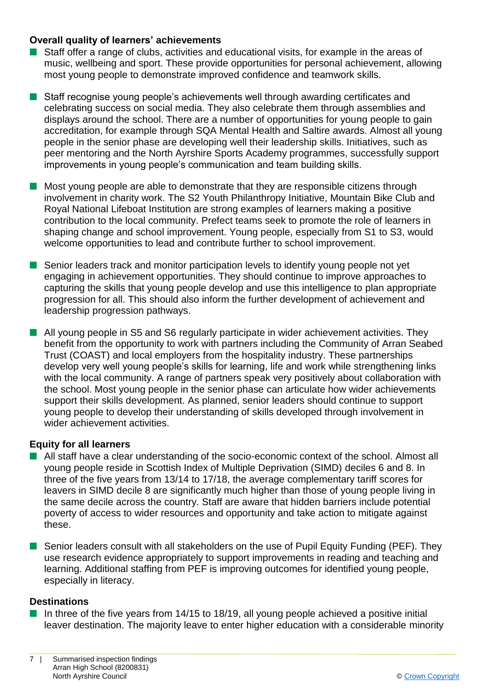#### **Overall quality of learners' achievements**

- $\blacksquare$  Staff offer a range of clubs, activities and educational visits, for example in the areas of music, wellbeing and sport. These provide opportunities for personal achievement, allowing most young people to demonstrate improved confidence and teamwork skills.
- Staff recognise young people's achievements well through awarding certificates and celebrating success on social media. They also celebrate them through assemblies and displays around the school. There are a number of opportunities for young people to gain accreditation, for example through SQA Mental Health and Saltire awards. Almost all young people in the senior phase are developing well their leadership skills. Initiatives, such as peer mentoring and the North Ayrshire Sports Academy programmes, successfully support improvements in young people's communication and team building skills.
- **n** Most young people are able to demonstrate that they are responsible citizens through involvement in charity work. The S2 Youth Philanthropy Initiative, Mountain Bike Club and Royal National Lifeboat Institution are strong examples of learners making a positive contribution to the local community. Prefect teams seek to promote the role of learners in shaping change and school improvement. Young people, especially from S1 to S3, would welcome opportunities to lead and contribute further to school improvement.
- Senior leaders track and monitor participation levels to identify young people not yet engaging in achievement opportunities. They should continue to improve approaches to capturing the skills that young people develop and use this intelligence to plan appropriate progression for all. This should also inform the further development of achievement and leadership progression pathways.
- **n** All young people in S5 and S6 regularly participate in wider achievement activities. They benefit from the opportunity to work with partners including the Community of Arran Seabed Trust (COAST) and local employers from the hospitality industry. These partnerships develop very well young people's skills for learning, life and work while strengthening links with the local community. A range of partners speak very positively about collaboration with the school. Most young people in the senior phase can articulate how wider achievements support their skills development. As planned, senior leaders should continue to support young people to develop their understanding of skills developed through involvement in wider achievement activities.

#### **Equity for all learners**

- All staff have a clear understanding of the socio-economic context of the school. Almost all young people reside in Scottish Index of Multiple Deprivation (SIMD) deciles 6 and 8. In three of the five years from 13/14 to 17/18, the average complementary tariff scores for leavers in SIMD decile 8 are significantly much higher than those of young people living in the same decile across the country. Staff are aware that hidden barriers include potential poverty of access to wider resources and opportunity and take action to mitigate against these.
- Senior leaders consult with all stakeholders on the use of Pupil Equity Funding (PEF). They use research evidence appropriately to support improvements in reading and teaching and learning. Additional staffing from PEF is improving outcomes for identified young people, especially in literacy.

#### **Destinations**

 $\blacksquare$  In three of the five years from 14/15 to 18/19, all young people achieved a positive initial leaver destination. The majority leave to enter higher education with a considerable minority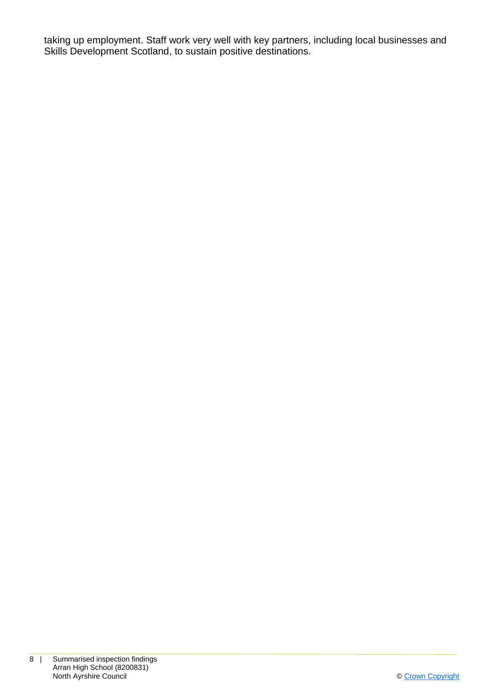taking up employment. Staff work very well with key partners, including local businesses and Skills Development Scotland, to sustain positive destinations.